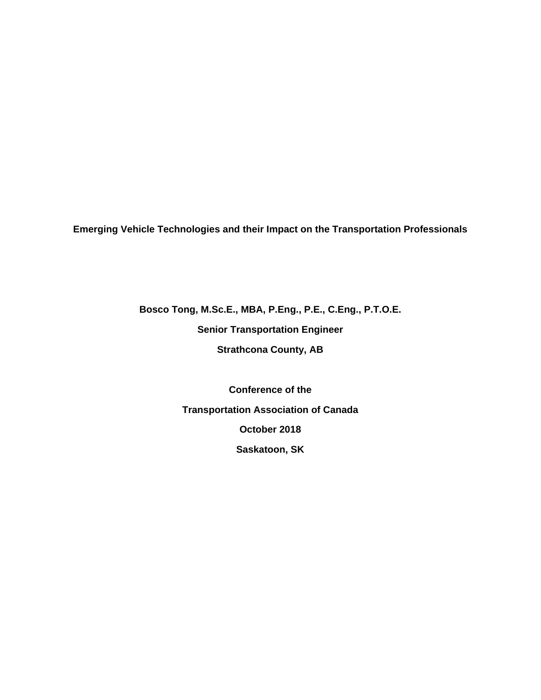**Emerging Vehicle Technologies and their Impact on the Transportation Professionals** 

**Bosco Tong, M.Sc.E., MBA, P.Eng., P.E., C.Eng., P.T.O.E.** 

**Senior Transportation Engineer** 

**Strathcona County, AB** 

**Conference of the Transportation Association of Canada October 2018 Saskatoon, SK**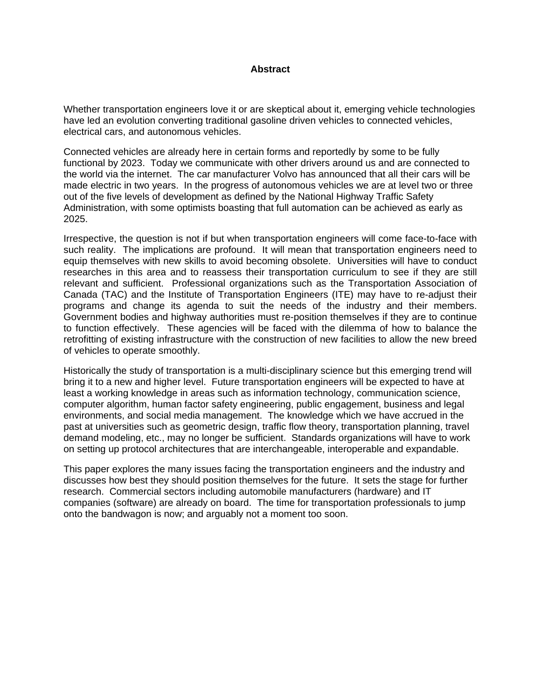#### **Abstract**

Whether transportation engineers love it or are skeptical about it, emerging vehicle technologies have led an evolution converting traditional gasoline driven vehicles to connected vehicles, electrical cars, and autonomous vehicles.

Connected vehicles are already here in certain forms and reportedly by some to be fully functional by 2023. Today we communicate with other drivers around us and are connected to the world via the internet. The car manufacturer Volvo has announced that all their cars will be made electric in two years. In the progress of autonomous vehicles we are at level two or three out of the five levels of development as defined by the National Highway Traffic Safety Administration, with some optimists boasting that full automation can be achieved as early as 2025.

Irrespective, the question is not if but when transportation engineers will come face-to-face with such reality. The implications are profound. It will mean that transportation engineers need to equip themselves with new skills to avoid becoming obsolete. Universities will have to conduct researches in this area and to reassess their transportation curriculum to see if they are still relevant and sufficient. Professional organizations such as the Transportation Association of Canada (TAC) and the Institute of Transportation Engineers (ITE) may have to re-adjust their programs and change its agenda to suit the needs of the industry and their members. Government bodies and highway authorities must re-position themselves if they are to continue to function effectively. These agencies will be faced with the dilemma of how to balance the retrofitting of existing infrastructure with the construction of new facilities to allow the new breed of vehicles to operate smoothly.

Historically the study of transportation is a multi-disciplinary science but this emerging trend will bring it to a new and higher level. Future transportation engineers will be expected to have at least a working knowledge in areas such as information technology, communication science, computer algorithm, human factor safety engineering, public engagement, business and legal environments, and social media management. The knowledge which we have accrued in the past at universities such as geometric design, traffic flow theory, transportation planning, travel demand modeling, etc., may no longer be sufficient. Standards organizations will have to work on setting up protocol architectures that are interchangeable, interoperable and expandable.

This paper explores the many issues facing the transportation engineers and the industry and discusses how best they should position themselves for the future. It sets the stage for further research. Commercial sectors including automobile manufacturers (hardware) and IT companies (software) are already on board. The time for transportation professionals to jump onto the bandwagon is now; and arguably not a moment too soon.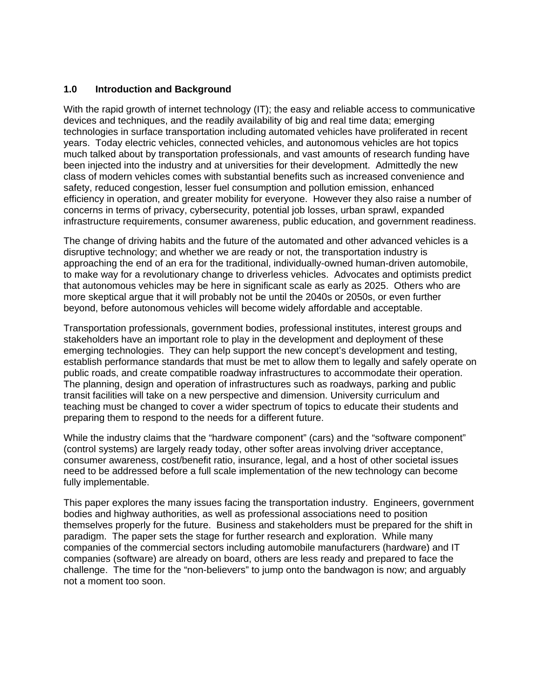## **1.0 Introduction and Background**

With the rapid growth of internet technology (IT); the easy and reliable access to communicative devices and techniques, and the readily availability of big and real time data; emerging technologies in surface transportation including automated vehicles have proliferated in recent years. Today electric vehicles, connected vehicles, and autonomous vehicles are hot topics much talked about by transportation professionals, and vast amounts of research funding have been injected into the industry and at universities for their development. Admittedly the new class of modern vehicles comes with substantial benefits such as increased convenience and safety, reduced congestion, lesser fuel consumption and pollution emission, enhanced efficiency in operation, and greater mobility for everyone. However they also raise a number of concerns in terms of privacy, cybersecurity, potential job losses, urban sprawl, expanded infrastructure requirements, consumer awareness, public education, and government readiness.

The change of driving habits and the future of the automated and other advanced vehicles is a disruptive technology; and whether we are ready or not, the transportation industry is approaching the end of an era for the traditional, individually-owned human-driven automobile, to make way for a revolutionary change to driverless vehicles. Advocates and optimists predict that autonomous vehicles may be here in significant scale as early as 2025. Others who are more skeptical argue that it will probably not be until the 2040s or 2050s, or even further beyond, before autonomous vehicles will become widely affordable and acceptable.

Transportation professionals, government bodies, professional institutes, interest groups and stakeholders have an important role to play in the development and deployment of these emerging technologies. They can help support the new concept's development and testing, establish performance standards that must be met to allow them to legally and safely operate on public roads, and create compatible roadway infrastructures to accommodate their operation. The planning, design and operation of infrastructures such as roadways, parking and public transit facilities will take on a new perspective and dimension. University curriculum and teaching must be changed to cover a wider spectrum of topics to educate their students and preparing them to respond to the needs for a different future.

While the industry claims that the "hardware component" (cars) and the "software component" (control systems) are largely ready today, other softer areas involving driver acceptance, consumer awareness, cost/benefit ratio, insurance, legal, and a host of other societal issues need to be addressed before a full scale implementation of the new technology can become fully implementable.

This paper explores the many issues facing the transportation industry. Engineers, government bodies and highway authorities, as well as professional associations need to position themselves properly for the future. Business and stakeholders must be prepared for the shift in paradigm. The paper sets the stage for further research and exploration. While many companies of the commercial sectors including automobile manufacturers (hardware) and IT companies (software) are already on board, others are less ready and prepared to face the challenge. The time for the "non-believers" to jump onto the bandwagon is now; and arguably not a moment too soon.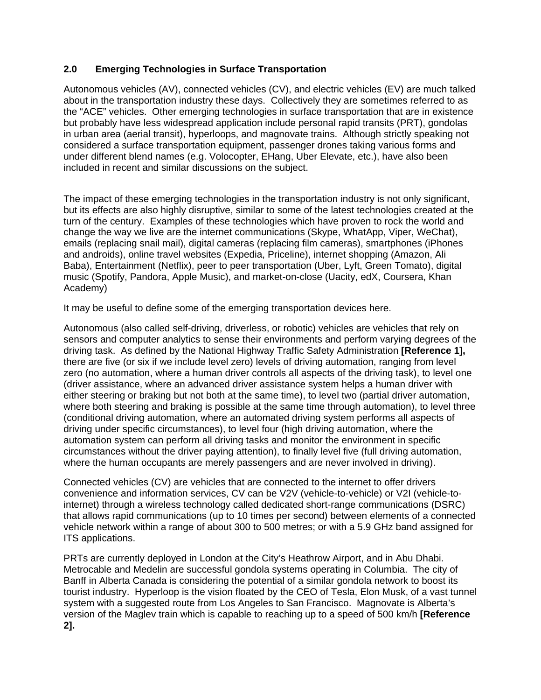# **2.0 Emerging Technologies in Surface Transportation**

Autonomous vehicles (AV), connected vehicles (CV), and electric vehicles (EV) are much talked about in the transportation industry these days. Collectively they are sometimes referred to as the "ACE" vehicles. Other emerging technologies in surface transportation that are in existence but probably have less widespread application include personal rapid transits (PRT), gondolas in urban area (aerial transit), hyperloops, and magnovate trains. Although strictly speaking not considered a surface transportation equipment, passenger drones taking various forms and under different blend names (e.g. Volocopter, EHang, Uber Elevate, etc.), have also been included in recent and similar discussions on the subject.

The impact of these emerging technologies in the transportation industry is not only significant, but its effects are also highly disruptive, similar to some of the latest technologies created at the turn of the century. Examples of these technologies which have proven to rock the world and change the way we live are the internet communications (Skype, WhatApp, Viper, WeChat), emails (replacing snail mail), digital cameras (replacing film cameras), smartphones (iPhones and androids), online travel websites (Expedia, Priceline), internet shopping (Amazon, Ali Baba), Entertainment (Netflix), peer to peer transportation (Uber, Lyft, Green Tomato), digital music (Spotify, Pandora, Apple Music), and market-on-close (Uacity, edX, Coursera, Khan Academy)

It may be useful to define some of the emerging transportation devices here.

Autonomous (also called self-driving, driverless, or robotic) vehicles are vehicles that rely on sensors and computer analytics to sense their environments and perform varying degrees of the driving task. As defined by the National Highway Traffic Safety Administration **[Reference 1],** there are five (or six if we include level zero) levels of driving automation, ranging from level zero (no automation, where a human driver controls all aspects of the driving task), to level one (driver assistance, where an advanced driver assistance system helps a human driver with either steering or braking but not both at the same time), to level two (partial driver automation, where both steering and braking is possible at the same time through automation), to level three (conditional driving automation, where an automated driving system performs all aspects of driving under specific circumstances), to level four (high driving automation, where the automation system can perform all driving tasks and monitor the environment in specific circumstances without the driver paying attention), to finally level five (full driving automation, where the human occupants are merely passengers and are never involved in driving).

Connected vehicles (CV) are vehicles that are connected to the internet to offer drivers convenience and information services, CV can be V2V (vehicle-to-vehicle) or V2I (vehicle-tointernet) through a wireless technology called dedicated short-range communications (DSRC) that allows rapid communications (up to 10 times per second) between elements of a connected vehicle network within a range of about 300 to 500 metres; or with a 5.9 GHz band assigned for ITS applications.

PRTs are currently deployed in London at the City's Heathrow Airport, and in Abu Dhabi. Metrocable and Medelin are successful gondola systems operating in Columbia. The city of Banff in Alberta Canada is considering the potential of a similar gondola network to boost its tourist industry. Hyperloop is the vision floated by the CEO of Tesla, Elon Musk, of a vast tunnel system with a suggested route from Los Angeles to San Francisco. Magnovate is Alberta's version of the Maglev train which is capable to reaching up to a speed of 500 km/h **[Reference 2].**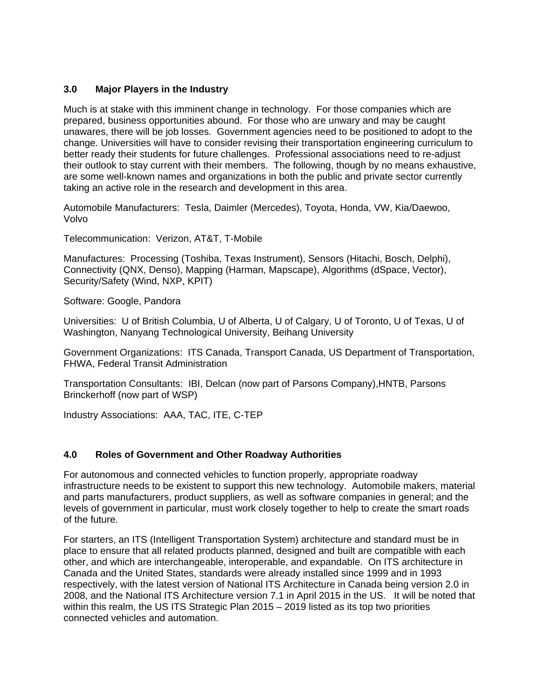## **3.0 Major Players in the Industry**

Much is at stake with this imminent change in technology. For those companies which are prepared, business opportunities abound. For those who are unwary and may be caught unawares, there will be job losses. Government agencies need to be positioned to adopt to the change. Universities will have to consider revising their transportation engineering curriculum to better ready their students for future challenges. Professional associations need to re-adjust their outlook to stay current with their members. The following, though by no means exhaustive, are some well-known names and organizations in both the public and private sector currently taking an active role in the research and development in this area.

Automobile Manufacturers: Tesla, Daimler (Mercedes), Toyota, Honda, VW, Kia/Daewoo, Volvo

Telecommunication: Verizon, AT&T, T-Mobile

Manufactures: Processing (Toshiba, Texas Instrument), Sensors (Hitachi, Bosch, Delphi), Connectivity (QNX, Denso), Mapping (Harman, Mapscape), Algorithms (dSpace, Vector), Security/Safety (Wind, NXP, KPIT)

Software: Google, Pandora

Universities: U of British Columbia, U of Alberta, U of Calgary, U of Toronto, U of Texas, U of Washington, Nanyang Technological University, Beihang University

Government Organizations: ITS Canada, Transport Canada, US Department of Transportation, FHWA, Federal Transit Administration

Transportation Consultants: IBI, Delcan (now part of Parsons Company),HNTB, Parsons Brinckerhoff (now part of WSP)

Industry Associations: AAA, TAC, ITE, C-TEP

### **4.0 Roles of Government and Other Roadway Authorities**

For autonomous and connected vehicles to function properly, appropriate roadway infrastructure needs to be existent to support this new technology. Automobile makers, material and parts manufacturers, product suppliers, as well as software companies in general; and the levels of government in particular, must work closely together to help to create the smart roads of the future.

For starters, an ITS (Intelligent Transportation System) architecture and standard must be in place to ensure that all related products planned, designed and built are compatible with each other, and which are interchangeable, interoperable, and expandable. On ITS architecture in Canada and the United States, standards were already installed since 1999 and in 1993 respectively, with the latest version of National ITS Architecture in Canada being version 2.0 in 2008, and the National ITS Architecture version 7.1 in April 2015 in the US. It will be noted that within this realm, the US ITS Strategic Plan 2015 – 2019 listed as its top two priorities connected vehicles and automation.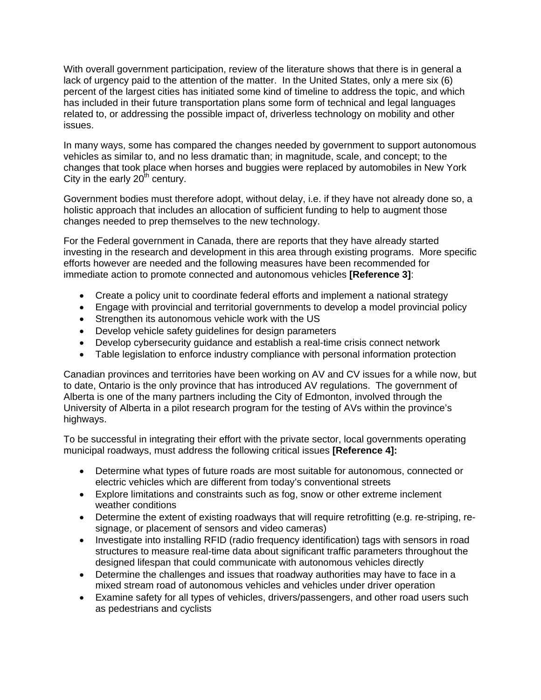With overall government participation, review of the literature shows that there is in general a lack of urgency paid to the attention of the matter. In the United States, only a mere six (6) percent of the largest cities has initiated some kind of timeline to address the topic, and which has included in their future transportation plans some form of technical and legal languages related to, or addressing the possible impact of, driverless technology on mobility and other issues.

In many ways, some has compared the changes needed by government to support autonomous vehicles as similar to, and no less dramatic than; in magnitude, scale, and concept; to the changes that took place when horses and buggies were replaced by automobiles in New York City in the early  $20<sup>th</sup>$  century.

Government bodies must therefore adopt, without delay, i.e. if they have not already done so, a holistic approach that includes an allocation of sufficient funding to help to augment those changes needed to prep themselves to the new technology.

For the Federal government in Canada, there are reports that they have already started investing in the research and development in this area through existing programs. More specific efforts however are needed and the following measures have been recommended for immediate action to promote connected and autonomous vehicles **[Reference 3]**:

- Create a policy unit to coordinate federal efforts and implement a national strategy
- Engage with provincial and territorial governments to develop a model provincial policy
- Strengthen its autonomous vehicle work with the US
- Develop vehicle safety guidelines for design parameters
- Develop cybersecurity guidance and establish a real-time crisis connect network
- Table legislation to enforce industry compliance with personal information protection

Canadian provinces and territories have been working on AV and CV issues for a while now, but to date, Ontario is the only province that has introduced AV regulations. The government of Alberta is one of the many partners including the City of Edmonton, involved through the University of Alberta in a pilot research program for the testing of AVs within the province's highways.

To be successful in integrating their effort with the private sector, local governments operating municipal roadways, must address the following critical issues **[Reference 4]:** 

- Determine what types of future roads are most suitable for autonomous, connected or electric vehicles which are different from today's conventional streets
- Explore limitations and constraints such as fog, snow or other extreme inclement weather conditions
- Determine the extent of existing roadways that will require retrofitting (e.g. re-striping, resignage, or placement of sensors and video cameras)
- Investigate into installing RFID (radio frequency identification) tags with sensors in road structures to measure real-time data about significant traffic parameters throughout the designed lifespan that could communicate with autonomous vehicles directly
- Determine the challenges and issues that roadway authorities may have to face in a mixed stream road of autonomous vehicles and vehicles under driver operation
- Examine safety for all types of vehicles, drivers/passengers, and other road users such as pedestrians and cyclists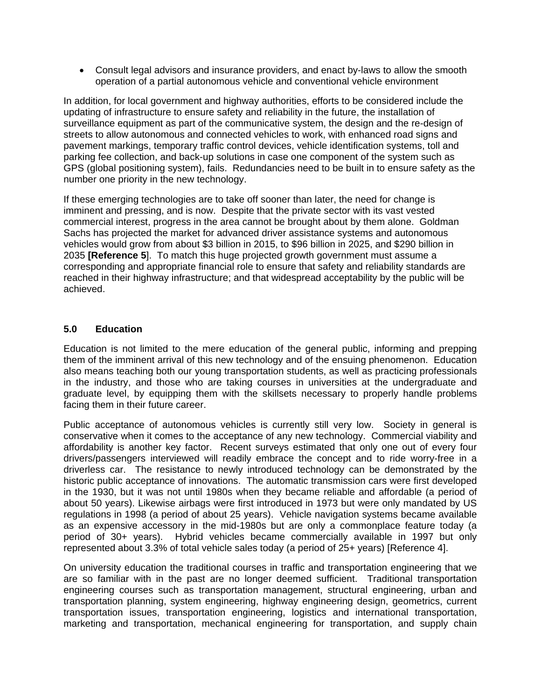Consult legal advisors and insurance providers, and enact by-laws to allow the smooth operation of a partial autonomous vehicle and conventional vehicle environment

In addition, for local government and highway authorities, efforts to be considered include the updating of infrastructure to ensure safety and reliability in the future, the installation of surveillance equipment as part of the communicative system, the design and the re-design of streets to allow autonomous and connected vehicles to work, with enhanced road signs and pavement markings, temporary traffic control devices, vehicle identification systems, toll and parking fee collection, and back-up solutions in case one component of the system such as GPS (global positioning system), fails. Redundancies need to be built in to ensure safety as the number one priority in the new technology.

If these emerging technologies are to take off sooner than later, the need for change is imminent and pressing, and is now. Despite that the private sector with its vast vested commercial interest, progress in the area cannot be brought about by them alone. Goldman Sachs has projected the market for advanced driver assistance systems and autonomous vehicles would grow from about \$3 billion in 2015, to \$96 billion in 2025, and \$290 billion in 2035 **[Reference 5**]. To match this huge projected growth government must assume a corresponding and appropriate financial role to ensure that safety and reliability standards are reached in their highway infrastructure; and that widespread acceptability by the public will be achieved.

### **5.0 Education**

Education is not limited to the mere education of the general public, informing and prepping them of the imminent arrival of this new technology and of the ensuing phenomenon. Education also means teaching both our young transportation students, as well as practicing professionals in the industry, and those who are taking courses in universities at the undergraduate and graduate level, by equipping them with the skillsets necessary to properly handle problems facing them in their future career.

Public acceptance of autonomous vehicles is currently still very low. Society in general is conservative when it comes to the acceptance of any new technology. Commercial viability and affordability is another key factor. Recent surveys estimated that only one out of every four drivers/passengers interviewed will readily embrace the concept and to ride worry-free in a driverless car. The resistance to newly introduced technology can be demonstrated by the historic public acceptance of innovations. The automatic transmission cars were first developed in the 1930, but it was not until 1980s when they became reliable and affordable (a period of about 50 years). Likewise airbags were first introduced in 1973 but were only mandated by US regulations in 1998 (a period of about 25 years). Vehicle navigation systems became available as an expensive accessory in the mid-1980s but are only a commonplace feature today (a period of 30+ years). Hybrid vehicles became commercially available in 1997 but only represented about 3.3% of total vehicle sales today (a period of 25+ years) [Reference 4].

On university education the traditional courses in traffic and transportation engineering that we are so familiar with in the past are no longer deemed sufficient. Traditional transportation engineering courses such as transportation management, structural engineering, urban and transportation planning, system engineering, highway engineering design, geometrics, current transportation issues, transportation engineering, logistics and international transportation, marketing and transportation, mechanical engineering for transportation, and supply chain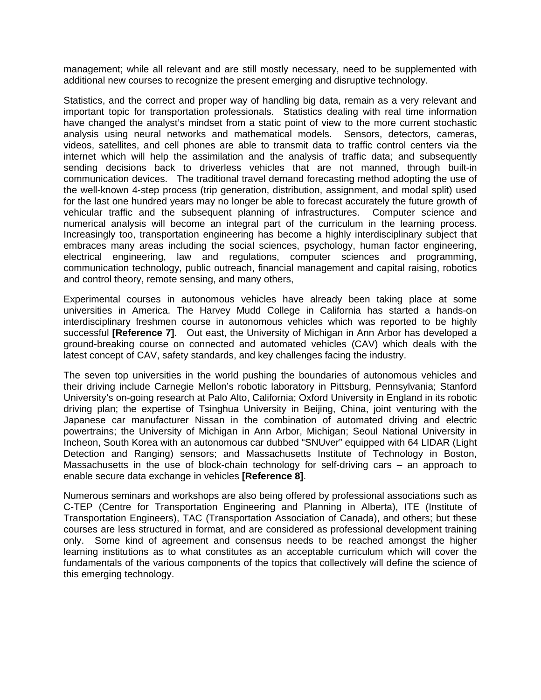management; while all relevant and are still mostly necessary, need to be supplemented with additional new courses to recognize the present emerging and disruptive technology.

Statistics, and the correct and proper way of handling big data, remain as a very relevant and important topic for transportation professionals. Statistics dealing with real time information have changed the analyst's mindset from a static point of view to the more current stochastic analysis using neural networks and mathematical models. Sensors, detectors, cameras, videos, satellites, and cell phones are able to transmit data to traffic control centers via the internet which will help the assimilation and the analysis of traffic data; and subsequently sending decisions back to driverless vehicles that are not manned, through built-in communication devices. The traditional travel demand forecasting method adopting the use of the well-known 4-step process (trip generation, distribution, assignment, and modal split) used for the last one hundred years may no longer be able to forecast accurately the future growth of vehicular traffic and the subsequent planning of infrastructures. Computer science and numerical analysis will become an integral part of the curriculum in the learning process. Increasingly too, transportation engineering has become a highly interdisciplinary subject that embraces many areas including the social sciences, psychology, human factor engineering, electrical engineering, law and regulations, computer sciences and programming, communication technology, public outreach, financial management and capital raising, robotics and control theory, remote sensing, and many others,

Experimental courses in autonomous vehicles have already been taking place at some universities in America. The Harvey Mudd College in California has started a hands-on interdisciplinary freshmen course in autonomous vehicles which was reported to be highly successful **[Reference 7]**. Out east, the University of Michigan in Ann Arbor has developed a ground-breaking course on connected and automated vehicles (CAV) which deals with the latest concept of CAV, safety standards, and key challenges facing the industry.

The seven top universities in the world pushing the boundaries of autonomous vehicles and their driving include Carnegie Mellon's robotic laboratory in Pittsburg, Pennsylvania; Stanford University's on-going research at Palo Alto, California; Oxford University in England in its robotic driving plan; the expertise of Tsinghua University in Beijing, China, joint venturing with the Japanese car manufacturer Nissan in the combination of automated driving and electric powertrains; the University of Michigan in Ann Arbor, Michigan; Seoul National University in Incheon, South Korea with an autonomous car dubbed "SNUver" equipped with 64 LIDAR (Light Detection and Ranging) sensors; and Massachusetts Institute of Technology in Boston, Massachusetts in the use of block-chain technology for self-driving cars – an approach to enable secure data exchange in vehicles **[Reference 8]**.

Numerous seminars and workshops are also being offered by professional associations such as C-TEP (Centre for Transportation Engineering and Planning in Alberta), ITE (Institute of Transportation Engineers), TAC (Transportation Association of Canada), and others; but these courses are less structured in format, and are considered as professional development training only. Some kind of agreement and consensus needs to be reached amongst the higher learning institutions as to what constitutes as an acceptable curriculum which will cover the fundamentals of the various components of the topics that collectively will define the science of this emerging technology.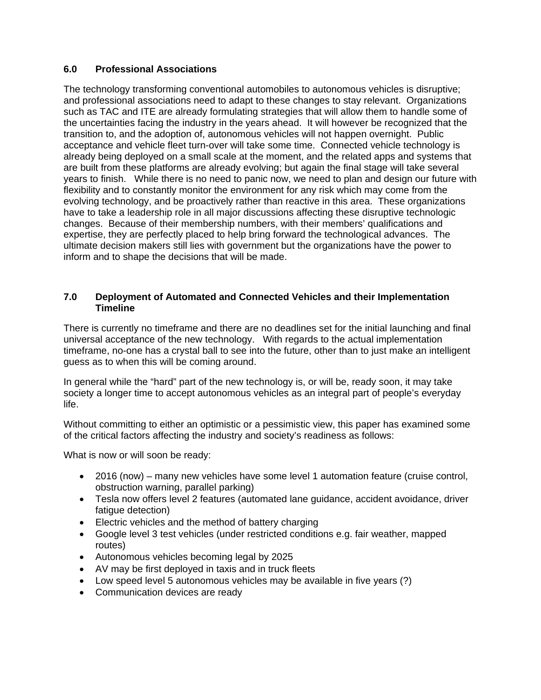### **6.0 Professional Associations**

The technology transforming conventional automobiles to autonomous vehicles is disruptive; and professional associations need to adapt to these changes to stay relevant. Organizations such as TAC and ITE are already formulating strategies that will allow them to handle some of the uncertainties facing the industry in the years ahead. It will however be recognized that the transition to, and the adoption of, autonomous vehicles will not happen overnight. Public acceptance and vehicle fleet turn-over will take some time. Connected vehicle technology is already being deployed on a small scale at the moment, and the related apps and systems that are built from these platforms are already evolving; but again the final stage will take several years to finish. While there is no need to panic now, we need to plan and design our future with flexibility and to constantly monitor the environment for any risk which may come from the evolving technology, and be proactively rather than reactive in this area. These organizations have to take a leadership role in all major discussions affecting these disruptive technologic changes. Because of their membership numbers, with their members' qualifications and expertise, they are perfectly placed to help bring forward the technological advances. The ultimate decision makers still lies with government but the organizations have the power to inform and to shape the decisions that will be made.

### **7.0 Deployment of Automated and Connected Vehicles and their Implementation Timeline**

There is currently no timeframe and there are no deadlines set for the initial launching and final universal acceptance of the new technology. With regards to the actual implementation timeframe, no-one has a crystal ball to see into the future, other than to just make an intelligent guess as to when this will be coming around.

In general while the "hard" part of the new technology is, or will be, ready soon, it may take society a longer time to accept autonomous vehicles as an integral part of people's everyday life.

Without committing to either an optimistic or a pessimistic view, this paper has examined some of the critical factors affecting the industry and society's readiness as follows:

What is now or will soon be ready:

- 2016 (now) many new vehicles have some level 1 automation feature (cruise control, obstruction warning, parallel parking)
- Tesla now offers level 2 features (automated lane guidance, accident avoidance, driver fatigue detection)
- Electric vehicles and the method of battery charging
- Google level 3 test vehicles (under restricted conditions e.g. fair weather, mapped routes)
- Autonomous vehicles becoming legal by 2025
- AV may be first deployed in taxis and in truck fleets
- Low speed level 5 autonomous vehicles may be available in five years (?)
- Communication devices are ready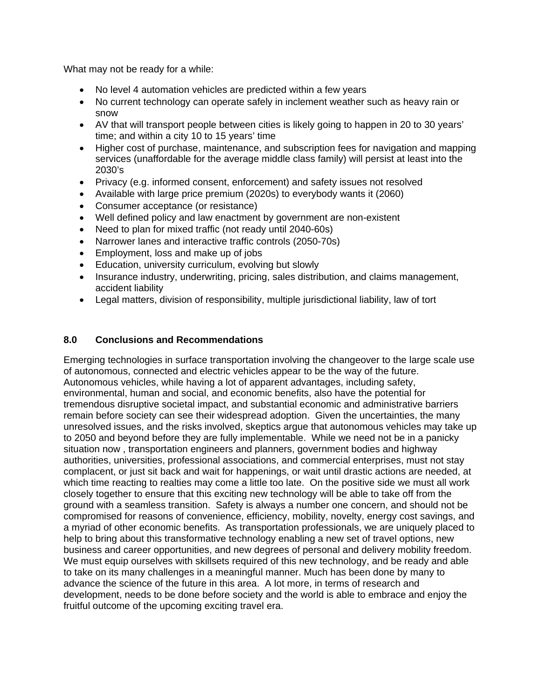What may not be ready for a while:

- No level 4 automation vehicles are predicted within a few years
- No current technology can operate safely in inclement weather such as heavy rain or snow
- AV that will transport people between cities is likely going to happen in 20 to 30 years' time; and within a city 10 to 15 years' time
- Higher cost of purchase, maintenance, and subscription fees for navigation and mapping services (unaffordable for the average middle class family) will persist at least into the 2030's
- Privacy (e.g. informed consent, enforcement) and safety issues not resolved
- Available with large price premium (2020s) to everybody wants it (2060)
- Consumer acceptance (or resistance)
- Well defined policy and law enactment by government are non-existent
- Need to plan for mixed traffic (not ready until 2040-60s)
- Narrower lanes and interactive traffic controls (2050-70s)
- Employment, loss and make up of jobs
- Education, university curriculum, evolving but slowly
- Insurance industry, underwriting, pricing, sales distribution, and claims management, accident liability
- Legal matters, division of responsibility, multiple jurisdictional liability, law of tort

### **8.0 Conclusions and Recommendations**

Emerging technologies in surface transportation involving the changeover to the large scale use of autonomous, connected and electric vehicles appear to be the way of the future. Autonomous vehicles, while having a lot of apparent advantages, including safety, environmental, human and social, and economic benefits, also have the potential for tremendous disruptive societal impact, and substantial economic and administrative barriers remain before society can see their widespread adoption. Given the uncertainties, the many unresolved issues, and the risks involved, skeptics argue that autonomous vehicles may take up to 2050 and beyond before they are fully implementable. While we need not be in a panicky situation now , transportation engineers and planners, government bodies and highway authorities, universities, professional associations, and commercial enterprises, must not stay complacent, or just sit back and wait for happenings, or wait until drastic actions are needed, at which time reacting to realties may come a little too late. On the positive side we must all work closely together to ensure that this exciting new technology will be able to take off from the ground with a seamless transition. Safety is always a number one concern, and should not be compromised for reasons of convenience, efficiency, mobility, novelty, energy cost savings, and a myriad of other economic benefits. As transportation professionals, we are uniquely placed to help to bring about this transformative technology enabling a new set of travel options, new business and career opportunities, and new degrees of personal and delivery mobility freedom. We must equip ourselves with skillsets required of this new technology, and be ready and able to take on its many challenges in a meaningful manner. Much has been done by many to advance the science of the future in this area. A lot more, in terms of research and development, needs to be done before society and the world is able to embrace and enjoy the fruitful outcome of the upcoming exciting travel era.